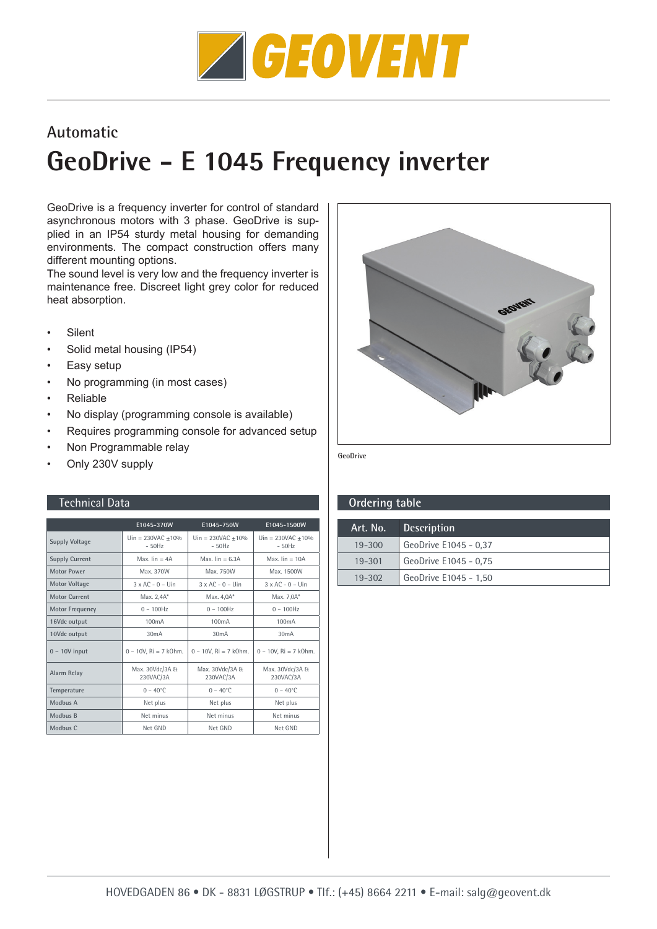

## **Automatic**

## **GeoDrive - E 1045 Frequency inverter**

GeoDrive is a frequency inverter for control of standard asynchronous motors with 3 phase. GeoDrive is supplied in an IP54 sturdy metal housing for demanding environments. The compact construction offers many different mounting options.

The sound level is very low and the frequency inverter is maintenance free. Discreet light grey color for reduced heat absorption.

- **Silent**
- Solid metal housing (IP54)
- Easy setup
- No programming (in most cases)
- Reliable
- No display (programming console is available)
- Requires programming console for advanced setup
- Non Programmable relay
- Only 230V supply

|                        | E1045-370W                     | E1045-750W                     | E1045-1500W                        |
|------------------------|--------------------------------|--------------------------------|------------------------------------|
| <b>Supply Voltage</b>  | $Un = 230VAC + 10%$<br>$-50Hz$ | $Un = 230VAC + 10%$<br>$-50Hz$ | $ə{Un} = 230VAC + 10\%$<br>$-50Hz$ |
| <b>Supply Current</b>  | Max. $lin = 4A$                | Max. $lin = 6.3A$              | Max. $lin = 10A$                   |
| <b>Motor Power</b>     | Max. 370W                      | Max. 750W                      | Max. 1500W                         |
| <b>Motor Voltage</b>   | $3 \times AC - 0 -$ Uin        | $3 \times AC - 0 -$ Uin        | $3 \times AC - 0 -$ Uin            |
| Motor Current          | Max. 2.4A*                     | Max. 4.0A*                     | Max. 7,0A*                         |
| <b>Motor Frequency</b> | $0 - 100$ Hz                   | $0 - 100$ Hz                   | $0 - 100$ Hz                       |
| 16Vdc output           | 100 <sub>m</sub> A             | 100 <sub>m</sub> A             | 100 <sub>m</sub> A                 |
| 10Vdc output           | 30 <sub>m</sub> A              | 30mA                           | 30mA                               |
| $0 - 10V$ input        | $0 - 10V$ , Ri = 7 k0hm.       | $0 - 10V$ , Ri = 7 kOhm.       | $0 - 10V$ , Ri = 7 kOhm.           |
| Alarm Relay            | Max. 30Vdc/3A &<br>230VAC/3A   | Max. 30Vdc/3A &<br>230VAC/3A   | Max. 30Vdc/3A &<br>230VAC/3A       |
| Temperature            | $0 - 40^{\circ}$ C             | $0 - 40^{\circ}$ C             | $0 - 40^{\circ}$ C                 |
| Modbus A               | Net plus                       | Net plus                       | Net plus                           |
| Modbus B               | Net minus                      | Net minus                      | Net minus                          |
| Modbus C               | Net GND                        | Net GND                        | Net GND                            |



**GeoDrive**

## Technical Data **Ordering table**

| Art. No.   | <b>Description</b>    |
|------------|-----------------------|
| $19 - 300$ | GeoDrive E1045 - 0,37 |
| $19 - 301$ | GeoDrive E1045 - 0,75 |
| $19 - 302$ | GeoDrive E1045 - 1,50 |